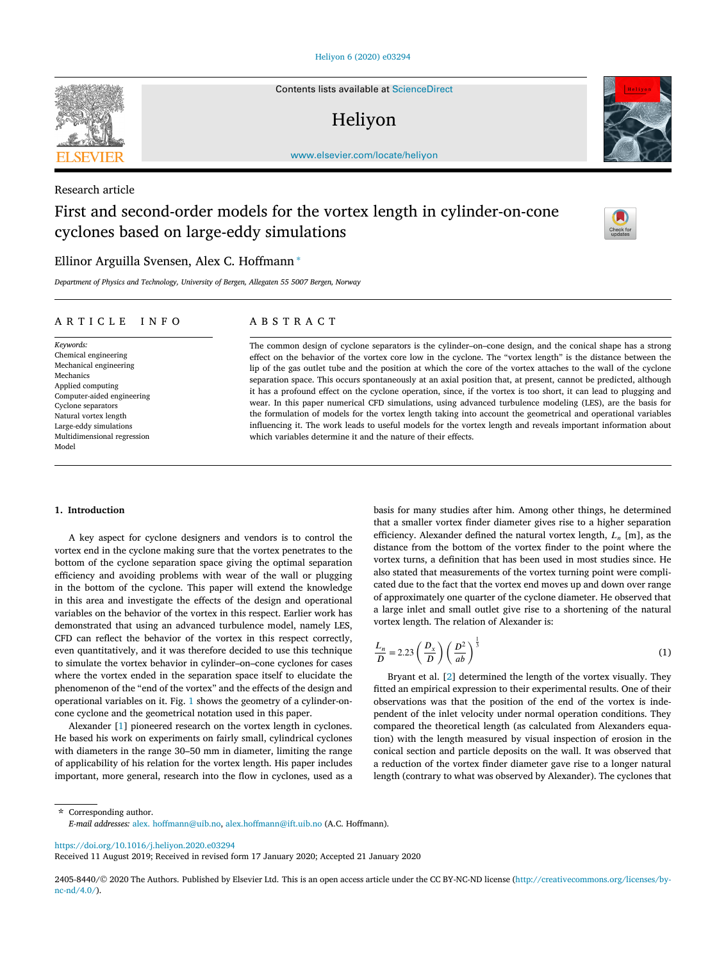<span id="page-0-0"></span>

Contents lists available at [ScienceDirect](http://www.ScienceDirect.com/)

# Heliyon



[www.elsevier.com/locate/heliyon](http://www.elsevier.com/locate/heliyon)

# Research article

# First and second-order models for the vortex length in cylinder-on-cone cyclones based on large-eddy simulations



# Ellinor Arguilla Svensen, Alex C. Hoffmann <sup>∗</sup>

*Department of Physics and Technology, University of Bergen, Allegaten 55 5007 Bergen, Norway*

### ARTICLE INFO ABSTRACT

*Keywords:* Chemical engineering Mechanical engineering Mechanics Applied computing Computer-aided engineering Cyclone separators Natural vortex length Large-eddy simulations Multidimensional regression Model

The common design of cyclone separators is the cylinder–on–cone design, and the conical shape has a strong effect on the behavior of the vortex core low in the cyclone. The "vortex length" is the distance between the lip of the gas outlet tube and the position at which the core of the vortex attaches to the wall of the cyclone separation space. This occurs spontaneously at an axial position that, at present, cannot be predicted, although it has a profound effect on the cyclone operation, since, if the vortex is too short, it can lead to plugging and wear. In this paper numerical CFD simulations, using advanced turbulence modeling (LES), are the basis for the formulation of models for the vortex length taking into account the geometrical and operational variables influencing it. The work leads to useful models for the vortex length and reveals important information about which variables determine it and the nature of their effects.

#### **1. Introduction**

A key aspect for cyclone designers and vendors is to control the vortex end in the cyclone making sure that the vortex penetrates to the bottom of the cyclone separation space giving the optimal separation efficiency and avoiding problems with wear of the wall or plugging in the bottom of the cyclone. This paper will extend the knowledge in this area and investigate the effects of the design and operational variables on the behavior of the vortex in this respect. Earlier work has demonstrated that using an advanced turbulence model, namely LES, CFD can reflect the behavior of the vortex in this respect correctly, even quantitatively, and it was therefore decided to use this technique to simulate the vortex behavior in cylinder–on–cone cyclones for cases where the vortex ended in the separation space itself to elucidate the phenomenon of the "end of the vortex" and the effects of the design and operational variables on it. Fig. [1](#page-1-0) shows the geometry of a cylinder-oncone cyclone and the geometrical notation used in this paper.

Alexander [\[1\]](#page-7-0) pioneered research on the vortex length in cyclones. He based his work on experiments on fairly small, cylindrical cyclones with diameters in the range 30–50 mm in diameter, limiting the range of applicability of his relation for the vortex length. His paper includes important, more general, research into the flow in cyclones, used as a basis for many studies after him. Among other things, he determined that a smaller vortex finder diameter gives rise to a higher separation efficiency. Alexander defined the natural vortex length,  $L_n$  [m], as the distance from the bottom of the vortex finder to the point where the vortex turns, a definition that has been used in most studies since. He also stated that measurements of the vortex turning point were complicated due to the fact that the vortex end moves up and down over range of approximately one quarter of the cyclone diameter. He observed that a large inlet and small outlet give rise to a shortening of the natural vortex length. The relation of Alexander is:

$$
\frac{L_n}{D} = 2.23 \left(\frac{D_x}{D}\right) \left(\frac{D^2}{ab}\right)^{\frac{1}{3}}\tag{1}
$$

Bryant et al. [\[2\]](#page-7-0) determined the length of the vortex visually. They fitted an empirical expression to their experimental results. One of their observations was that the position of the end of the vortex is independent of the inlet velocity under normal operation conditions. They compared the theoretical length (as calculated from Alexanders equation) with the length measured by visual inspection of erosion in the conical section and particle deposits on the wall. It was observed that a reduction of the vortex finder diameter gave rise to a longer natural length (contrary to what was observed by Alexander). The cyclones that

\* Corresponding author. *E-mail addresses:* alex. [hoffmann@uib.no,](mailto:alex. hoffmann@uib.no) [alex.hoffmann@ift.uib.no](mailto:alex.hoffmann@ift.uib.no) (A.C. Hoffmann).

<https://doi.org/10.1016/j.heliyon.2020.e03294>

Received 11 August 2019; Received in revised form 17 January 2020; Accepted 21 January 2020

2405-8440/© 2020 The Authors. Published by Elsevier Ltd. This is an open access article under the CC BY-NC-ND license [\(http://creativecommons.org/licenses/by](http://creativecommons.org/licenses/by-nc-nd/4.0/) $nc-nd/4.0/$ ).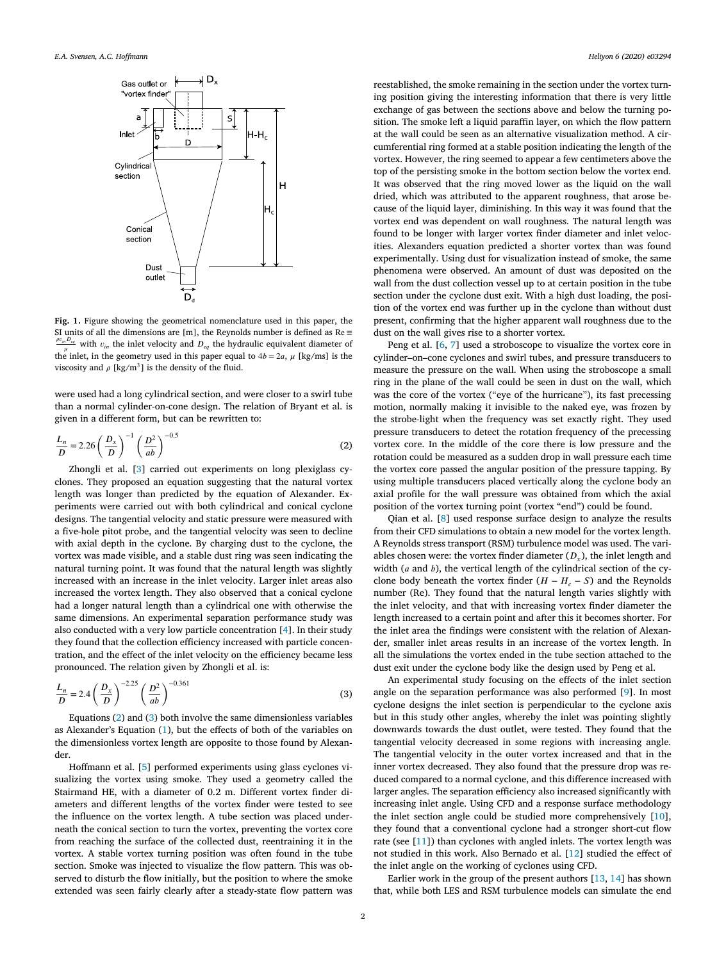<span id="page-1-0"></span>

**Fig. 1.** Figure showing the geometrical nomenclature used in this paper, the SI units of all the dimensions are [m], the Reynolds number is defined as  $Re \equiv$  $\frac{\rho v_{in} D_{eq}}{n}$  with  $v_{in}$  the inlet velocity and  $D_{eq}$  the hydraulic equivalent diameter of the inlet, in the geometry used in this paper equal to  $4b = 2a$ ,  $\mu$  [kg/ms] is the viscosity and  $\rho$  [kg/m<sup>3</sup>] is the density of the fluid.

were used had a long cylindrical section, and were closer to a swirl tube than a normal cylinder-on-cone design. The relation of Bryant et al. is given in a different form, but can be rewritten to:

$$
\frac{L_n}{D} = 2.26 \left(\frac{D_x}{D}\right)^{-1} \left(\frac{D^2}{ab}\right)^{-0.5}
$$
\n(2)

Zhongli et al. [\[3\]](#page-7-0) carried out experiments on long plexiglass cyclones. They proposed an equation suggesting that the natural vortex length was longer than predicted by the equation of Alexander. Experiments were carried out with both cylindrical and conical cyclone designs. The tangential velocity and static pressure were measured with a five-hole pitot probe, and the tangential velocity was seen to decline with axial depth in the cyclone. By charging dust to the cyclone, the vortex was made visible, and a stable dust ring was seen indicating the natural turning point. It was found that the natural length was slightly increased with an increase in the inlet velocity. Larger inlet areas also increased the vortex length. They also observed that a conical cyclone had a longer natural length than a cylindrical one with otherwise the same dimensions. An experimental separation performance study was also conducted with a very low particle concentration [\[4\]](#page-7-0). In their study they found that the collection efficiency increased with particle concentration, and the effect of the inlet velocity on the efficiency became less pronounced. The relation given by Zhongli et al. is:

$$
\frac{L_n}{D} = 2.4 \left(\frac{D_x}{D}\right)^{-2.25} \left(\frac{D^2}{ab}\right)^{-0.361} \tag{3}
$$

Equations (2) and (3) both involve the same dimensionless variables as Alexander's Equation [\(1\)](#page-0-0), but the effects of both of the variables on the dimensionless vortex length are opposite to those found by Alexander.

Hoffmann et al. [\[5\]](#page-7-0) performed experiments using glass cyclones visualizing the vortex using smoke. They used a geometry called the Stairmand HE, with a diameter of 0.2 m. Different vortex finder diameters and different lengths of the vortex finder were tested to see the influence on the vortex length. A tube section was placed underneath the conical section to turn the vortex, preventing the vortex core from reaching the surface of the collected dust, reentraining it in the vortex. A stable vortex turning position was often found in the tube section. Smoke was injected to visualize the flow pattern. This was observed to disturb the flow initially, but the position to where the smoke extended was seen fairly clearly after a steady-state flow pattern was

reestablished, the smoke remaining in the section under the vortex turning position giving the interesting information that there is very little exchange of gas between the sections above and below the turning position. The smoke left a liquid paraffin layer, on which the flow pattern at the wall could be seen as an alternative visualization method. A circumferential ring formed at a stable position indicating the length of the vortex. However, the ring seemed to appear a few centimeters above the top of the persisting smoke in the bottom section below the vortex end. It was observed that the ring moved lower as the liquid on the wall dried, which was attributed to the apparent roughness, that arose because of the liquid layer, diminishing. In this way it was found that the vortex end was dependent on wall roughness. The natural length was found to be longer with larger vortex finder diameter and inlet velocities. Alexanders equation predicted a shorter vortex than was found experimentally. Using dust for visualization instead of smoke, the same phenomena were observed. An amount of dust was deposited on the wall from the dust collection vessel up to at certain position in the tube section under the cyclone dust exit. With a high dust loading, the position of the vortex end was further up in the cyclone than without dust present, confirming that the higher apparent wall roughness due to the dust on the wall gives rise to a shorter vortex.

Peng et al. [\[6,](#page-7-0) [7](#page-7-0)] used a stroboscope to visualize the vortex core in cylinder–on–cone cyclones and swirl tubes, and pressure transducers to measure the pressure on the wall. When using the stroboscope a small ring in the plane of the wall could be seen in dust on the wall, which was the core of the vortex ("eye of the hurricane"), its fast precessing motion, normally making it invisible to the naked eye, was frozen by the strobe-light when the frequency was set exactly right. They used pressure transducers to detect the rotation frequency of the precessing vortex core. In the middle of the core there is low pressure and the rotation could be measured as a sudden drop in wall pressure each time the vortex core passed the angular position of the pressure tapping. By using multiple transducers placed vertically along the cyclone body an axial profile for the wall pressure was obtained from which the axial position of the vortex turning point (vortex "end") could be found.

Qian et al. [\[8\]](#page-8-0) used response surface design to analyze the results from their CFD simulations to obtain a new model for the vortex length. A Reynolds stress transport (RSM) turbulence model was used. The variables chosen were: the vortex finder diameter  $(D<sub>x</sub>)$ , the inlet length and width ( $a$  and  $b$ ), the vertical length of the cylindrical section of the cyclone body beneath the vortex finder  $(H - H_c - S)$  and the Reynolds number (Re). They found that the natural length varies slightly with the inlet velocity, and that with increasing vortex finder diameter the length increased to a certain point and after this it becomes shorter. For the inlet area the findings were consistent with the relation of Alexander, smaller inlet areas results in an increase of the vortex length. In all the simulations the vortex ended in the tube section attached to the dust exit under the cyclone body like the design used by Peng et al.

An experimental study focusing on the effects of the inlet section angle on the separation performance was also performed [[9](#page-8-0)]. In most cyclone designs the inlet section is perpendicular to the cyclone axis but in this study other angles, whereby the inlet was pointing slightly downwards towards the dust outlet, were tested. They found that the tangential velocity decreased in some regions with increasing angle. The tangential velocity in the outer vortex increased and that in the inner vortex decreased. They also found that the pressure drop was reduced compared to a normal cyclone, and this difference increased with larger angles. The separation efficiency also increased significantly with increasing inlet angle. Using CFD and a response surface methodology the inlet section angle could be studied more comprehensively [\[10](#page-8-0)], they found that a conventional cyclone had a stronger short-cut flow rate (see [[11\]](#page-8-0)) than cyclones with angled inlets. The vortex length was not studied in this work. Also Bernado et al. [\[12](#page-8-0)] studied the effect of the inlet angle on the working of cyclones using CFD.

Earlier work in the group of the present authors [[13,](#page-8-0) [14](#page-8-0)] has shown that, while both LES and RSM turbulence models can simulate the end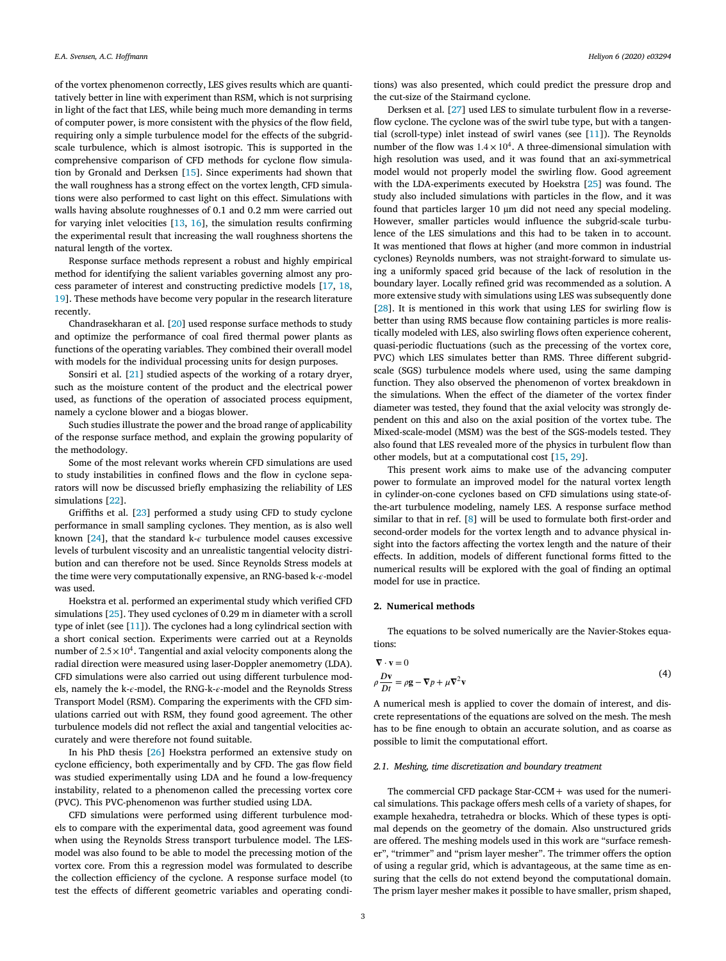of the vortex phenomenon correctly, LES gives results which are quantitatively better in line with experiment than RSM, which is not surprising in light of the fact that LES, while being much more demanding in terms of computer power, is more consistent with the physics of the flow field, requiring only a simple turbulence model for the effects of the subgridscale turbulence, which is almost isotropic. This is supported in the comprehensive comparison of CFD methods for cyclone flow simulation by Gronald and Derksen [[15\]](#page-8-0). Since experiments had shown that the wall roughness has a strong effect on the vortex length, CFD simulations were also performed to cast light on this effect. Simulations with walls having absolute roughnesses of 0.1 and 0.2 mm were carried out for varying inlet velocities [\[13](#page-8-0), [16](#page-8-0)], the simulation results confirming the experimental result that increasing the wall roughness shortens the natural length of the vortex.

Response surface methods represent a robust and highly empirical method for identifying the salient variables governing almost any process parameter of interest and constructing predictive models [[17,](#page-8-0) [18](#page-8-0), [19\]](#page-8-0). These methods have become very popular in the research literature recently.

Chandrasekharan et al. [[20\]](#page-8-0) used response surface methods to study and optimize the performance of coal fired thermal power plants as functions of the operating variables. They combined their overall model with models for the individual processing units for design purposes.

Sonsiri et al. [\[21](#page-8-0)] studied aspects of the working of a rotary dryer, such as the moisture content of the product and the electrical power used, as functions of the operation of associated process equipment, namely a cyclone blower and a biogas blower.

Such studies illustrate the power and the broad range of applicability of the response surface method, and explain the growing popularity of the methodology.

Some of the most relevant works wherein CFD simulations are used to study instabilities in confined flows and the flow in cyclone separators will now be discussed briefly emphasizing the reliability of LES simulations [[22\]](#page-8-0).

Griffiths et al. [\[23](#page-8-0)] performed a study using CFD to study cyclone performance in small sampling cyclones. They mention, as is also well known [[24\]](#page-8-0), that the standard k- $\epsilon$  turbulence model causes excessive levels of turbulent viscosity and an unrealistic tangential velocity distribution and can therefore not be used. Since Reynolds Stress models at the time were very computationally expensive, an RNG-based k- $\epsilon$ -model was used.

Hoekstra et al. performed an experimental study which verified CFD simulations [\[25](#page-8-0)]. They used cyclones of 0.29 m in diameter with a scroll type of inlet (see [\[11](#page-8-0)]). The cyclones had a long cylindrical section with a short conical section. Experiments were carried out at a Reynolds number of  $2.5 \times 10^4$ . Tangential and axial velocity components along the radial direction were measured using laser-Doppler anemometry (LDA). CFD simulations were also carried out using different turbulence models, namely the k- $\epsilon$ -model, the RNG-k- $\epsilon$ -model and the Reynolds Stress Transport Model (RSM). Comparing the experiments with the CFD simulations carried out with RSM, they found good agreement. The other turbulence models did not reflect the axial and tangential velocities accurately and were therefore not found suitable.

In his PhD thesis [\[26](#page-8-0)] Hoekstra performed an extensive study on cyclone efficiency, both experimentally and by CFD. The gas flow field was studied experimentally using LDA and he found a low-frequency instability, related to a phenomenon called the precessing vortex core (PVC). This PVC-phenomenon was further studied using LDA.

CFD simulations were performed using different turbulence models to compare with the experimental data, good agreement was found when using the Reynolds Stress transport turbulence model. The LESmodel was also found to be able to model the precessing motion of the vortex core. From this a regression model was formulated to describe the collection efficiency of the cyclone. A response surface model (to test the effects of different geometric variables and operating conditions) was also presented, which could predict the pressure drop and the cut-size of the Stairmand cyclone.

Derksen et al. [\[27](#page-8-0)] used LES to simulate turbulent flow in a reverseflow cyclone. The cyclone was of the swirl tube type, but with a tangential (scroll-type) inlet instead of swirl vanes (see [\[11\]](#page-8-0)). The Reynolds number of the flow was  $1.4 \times 10^4$ . A three-dimensional simulation with high resolution was used, and it was found that an axi-symmetrical model would not properly model the swirling flow. Good agreement with the LDA-experiments executed by Hoekstra [[25\]](#page-8-0) was found. The study also included simulations with particles in the flow, and it was found that particles larger 10 μm did not need any special modeling. However, smaller particles would influence the subgrid-scale turbulence of the LES simulations and this had to be taken in to account. It was mentioned that flows at higher (and more common in industrial cyclones) Reynolds numbers, was not straight-forward to simulate using a uniformly spaced grid because of the lack of resolution in the boundary layer. Locally refined grid was recommended as a solution. A more extensive study with simulations using LES was subsequently done [[28\]](#page-8-0). It is mentioned in this work that using LES for swirling flow is better than using RMS because flow containing particles is more realistically modeled with LES, also swirling flows often experience coherent, quasi-periodic fluctuations (such as the precessing of the vortex core, PVC) which LES simulates better than RMS. Three different subgridscale (SGS) turbulence models where used, using the same damping function. They also observed the phenomenon of vortex breakdown in the simulations. When the effect of the diameter of the vortex finder diameter was tested, they found that the axial velocity was strongly dependent on this and also on the axial position of the vortex tube. The Mixed-scale-model (MSM) was the best of the SGS-models tested. They also found that LES revealed more of the physics in turbulent flow than other models, but at a computational cost [\[15](#page-8-0), [29\]](#page-8-0).

This present work aims to make use of the advancing computer power to formulate an improved model for the natural vortex length in cylinder-on-cone cyclones based on CFD simulations using state-ofthe-art turbulence modeling, namely LES. A response surface method similar to that in ref. [\[8\]](#page-8-0) will be used to formulate both first-order and second-order models for the vortex length and to advance physical insight into the factors affecting the vortex length and the nature of their effects. In addition, models of different functional forms fitted to the numerical results will be explored with the goal of finding an optimal model for use in practice.

### **2. Numerical methods**

The equations to be solved numerically are the Navier-Stokes equations:

$$
\nabla \cdot \mathbf{v} = 0
$$
  
\n
$$
\rho \frac{D\mathbf{v}}{Dt} = \rho \mathbf{g} - \nabla p + \mu \nabla^2 \mathbf{v}
$$
\n(4)

A numerical mesh is applied to cover the domain of interest, and discrete representations of the equations are solved on the mesh. The mesh has to be fine enough to obtain an accurate solution, and as coarse as possible to limit the computational effort.

#### *2.1. Meshing, time discretization and boundary treatment*

The commercial CFD package Star-CCM+ was used for the numerical simulations. This package offers mesh cells of a variety of shapes, for example hexahedra, tetrahedra or blocks. Which of these types is optimal depends on the geometry of the domain. Also unstructured grids are offered. The meshing models used in this work are "surface remesher", "trimmer" and "prism layer mesher". The trimmer offers the option of using a regular grid, which is advantageous, at the same time as ensuring that the cells do not extend beyond the computational domain. The prism layer mesher makes it possible to have smaller, prism shaped,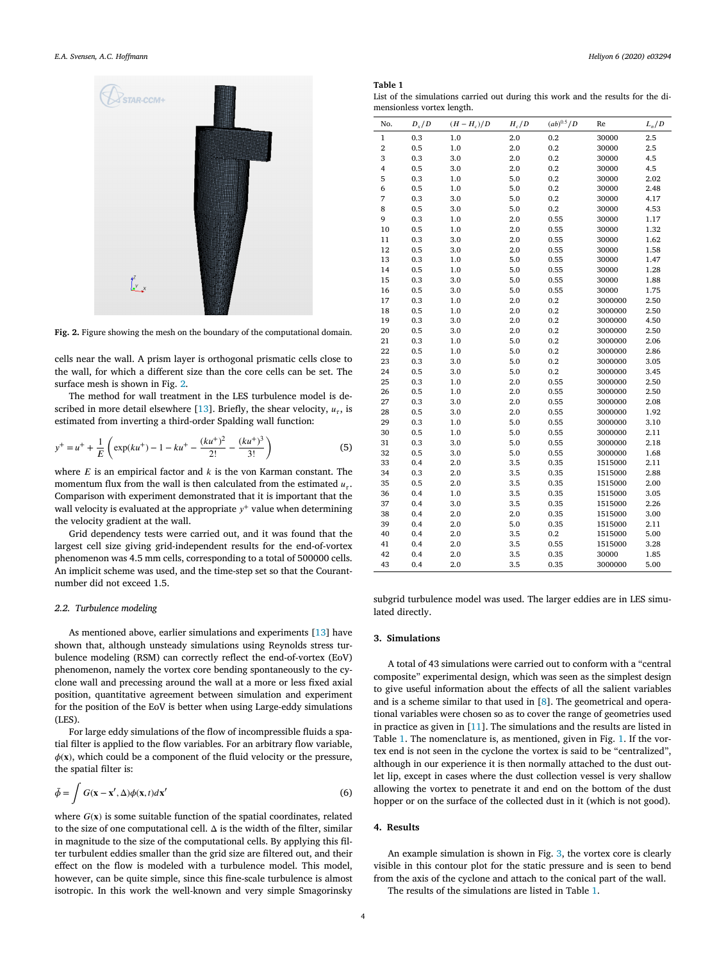<span id="page-3-0"></span>

**Fig. 2.** Figure showing the mesh on the boundary of the computational domain.

cells near the wall. A prism layer is orthogonal prismatic cells close to the wall, for which a different size than the core cells can be set. The surface mesh is shown in Fig. 2.

The method for wall treatment in the LES turbulence model is de-scribed in more detail elsewhere [\[13](#page-8-0)]. Briefly, the shear velocity,  $u_{\tau}$ , is estimated from inverting a third-order Spalding wall function:

$$
y^{+} = u^{+} + \frac{1}{E} \left( \exp(ku^{+}) - 1 - ku^{+} - \frac{(ku^{+})^{2}}{2!} - \frac{(ku^{+})^{3}}{3!} \right)
$$
(5)

where  $E$  is an empirical factor and  $k$  is the von Karman constant. The momentum flux from the wall is then calculated from the estimated  $u_{\tau}$ . Comparison with experiment demonstrated that it is important that the wall velocity is evaluated at the appropriate  $y^{+}$  value when determining the velocity gradient at the wall.

Grid dependency tests were carried out, and it was found that the largest cell size giving grid-independent results for the end-of-vortex phenomenon was 4.5 mm cells, corresponding to a total of 500000 cells. An implicit scheme was used, and the time-step set so that the Courantnumber did not exceed 1.5.

#### *2.2. Turbulence modeling*

As mentioned above, earlier simulations and experiments [\[13](#page-8-0)] have shown that, although unsteady simulations using Reynolds stress turbulence modeling (RSM) can correctly reflect the end-of-vortex (EoV) phenomenon, namely the vortex core bending spontaneously to the cyclone wall and precessing around the wall at a more or less fixed axial position, quantitative agreement between simulation and experiment for the position of the EoV is better when using Large-eddy simulations (LES).

For large eddy simulations of the flow of incompressible fluids a spatial filter is applied to the flow variables. For an arbitrary flow variable,  $\phi(\mathbf{x})$ , which could be a component of the fluid velocity or the pressure, the spatial filter is:

$$
\bar{\phi} = \int G(\mathbf{x} - \mathbf{x}', \Delta) \phi(\mathbf{x}, t) d\mathbf{x}' \tag{6}
$$

where  $G(x)$  is some suitable function of the spatial coordinates, related to the size of one computational cell.  $\Delta$  is the width of the filter, similar in magnitude to the size of the computational cells. By applying this filter turbulent eddies smaller than the grid size are filtered out, and their effect on the flow is modeled with a turbulence model. This model, however, can be quite simple, since this fine-scale turbulence is almost isotropic. In this work the well-known and very simple Smagorinsky

#### **Table 1**

| List of the simulations carried out during this work and the results for the di- |  |  |  |  |
|----------------------------------------------------------------------------------|--|--|--|--|
| mensionless vortex length.                                                       |  |  |  |  |

| No.                     | $D_{\rm x}/D$ | $(H - H_c)/D$ | $H_c/D$ | $(ab)^{0.5}/D$ | Re      | $L_n/D$ |
|-------------------------|---------------|---------------|---------|----------------|---------|---------|
| $\mathbf{1}$            | 0.3           | $1.0\,$       | $2.0\,$ | 0.2            | 30000   | 2.5     |
| $\,2$                   | 0.5           | 1.0           | 2.0     | 0.2            | 30000   | 2.5     |
| 3                       | 0.3           | 3.0           | 2.0     | 0.2            | 30000   | 4.5     |
| $\overline{\mathbf{4}}$ | 0.5           | 3.0           | 2.0     | 0.2            | 30000   | 4.5     |
| 5                       | 0.3           | 1.0           | 5.0     | 0.2            | 30000   | 2.02    |
| 6                       | 0.5           | $1.0\,$       | 5.0     | 0.2            | 30000   | 2.48    |
| 7                       | 0.3           | 3.0           | 5.0     | 0.2            | 30000   | 4.17    |
| 8                       | 0.5           | 3.0           | 5.0     | 0.2            | 30000   | 4.53    |
| 9                       | 0.3           | 1.0           | 2.0     | 0.55           | 30000   | 1.17    |
| 10                      | 0.5           | 1.0           | 2.0     | 0.55           | 30000   | 1.32    |
| 11                      | 0.3           | 3.0           | 2.0     | 0.55           | 30000   | 1.62    |
| 12                      | 0.5           | 3.0           | 2.0     | 0.55           | 30000   | 1.58    |
| 13                      | 0.3           | 1.0           | 5.0     | 0.55           | 30000   | 1.47    |
| 14                      | 0.5           | 1.0           | 5.0     | 0.55           | 30000   | 1.28    |
| 15                      | 0.3           | 3.0           | 5.0     | 0.55           | 30000   | 1.88    |
| 16                      | 0.5           | 3.0           | 5.0     | 0.55           | 30000   | 1.75    |
| 17                      | 0.3           | $1.0\,$       | 2.0     | 0.2            | 3000000 | 2.50    |
| 18                      | 0.5           | $1.0\,$       | 2.0     | 0.2            | 3000000 | 2.50    |
| 19                      | 0.3           | 3.0           | 2.0     | 0.2            | 3000000 | 4.50    |
| 20                      | 0.5           | 3.0           | 2.0     | 0.2            | 3000000 | 2.50    |
| 21                      | 0.3           | 1.0           | 5.0     | 0.2            | 3000000 | 2.06    |
| 22                      | 0.5           | 1.0           | 5.0     | 0.2            | 3000000 | 2.86    |
| 23                      | 0.3           | 3.0           | 5.0     | 0.2            | 3000000 | 3.05    |
| 24                      | 0.5           | 3.0           | 5.0     | 0.2            | 3000000 | 3.45    |
| 25                      | 0.3           | 1.0           | 2.0     | 0.55           | 3000000 | 2.50    |
| 26                      | 0.5           | 1.0           | 2.0     | 0.55           | 3000000 | 2.50    |
| 27                      | 0.3           | 3.0           | 2.0     | 0.55           | 3000000 | 2.08    |
| 28                      | 0.5           | 3.0           | 2.0     | 0.55           | 3000000 | 1.92    |
| 29                      | 0.3           | $1.0\,$       | 5.0     | 0.55           | 3000000 | 3.10    |
| 30                      | 0.5           | 1.0           | 5.0     | 0.55           | 3000000 | 2.11    |
| 31                      | 0.3           | 3.0           | 5.0     | 0.55           | 3000000 | 2.18    |
| 32                      | 0.5           | 3.0           | 5.0     | 0.55           | 3000000 | 1.68    |
| 33                      | 0.4           | 2.0           | 3.5     | 0.35           | 1515000 | 2.11    |
| 34                      | 0.3           | 2.0           | 3.5     | 0.35           | 1515000 | 2.88    |
| 35                      | 0.5           | 2.0           | 3.5     | 0.35           | 1515000 | 2.00    |
| 36                      | 0.4           | $1.0\,$       | 3.5     | 0.35           | 1515000 | 3.05    |
| 37                      | 0.4           | 3.0           | 3.5     | 0.35           | 1515000 | 2.26    |
| 38                      | 0.4           | 2.0           | 2.0     | 0.35           | 1515000 | 3.00    |
| 39                      | 0.4           | 2.0           | 5.0     | 0.35           | 1515000 | 2.11    |
| 40                      | 0.4           | 2.0           | 3.5     | 0.2            | 1515000 | 5.00    |
| 41                      | 0.4           | 2.0           | 3.5     | 0.55           | 1515000 | 3.28    |
| 42                      | 0.4           | 2.0           | 3.5     | 0.35           | 30000   | 1.85    |
| 43                      | 0.4           | 2.0           | 3.5     | 0.35           | 3000000 | 5.00    |

subgrid turbulence model was used. The larger eddies are in LES simulated directly.

#### **3. Simulations**

A total of 43 simulations were carried out to conform with a "central composite" experimental design, which was seen as the simplest design to give useful information about the effects of all the salient variables and is a scheme similar to that used in [\[8\]](#page-8-0). The geometrical and operational variables were chosen so as to cover the range of geometries used in practice as given in [[11\]](#page-8-0). The simulations and the results are listed in Table 1. The nomenclature is, as mentioned, given in Fig. [1.](#page-1-0) If the vortex end is not seen in the cyclone the vortex is said to be "centralized", although in our experience it is then normally attached to the dust outlet lip, except in cases where the dust collection vessel is very shallow allowing the vortex to penetrate it and end on the bottom of the dust hopper or on the surface of the collected dust in it (which is not good).

#### **4. Results**

An example simulation is shown in Fig. [3](#page-4-0), the vortex core is clearly visible in this contour plot for the static pressure and is seen to bend from the axis of the cyclone and attach to the conical part of the wall.

The results of the simulations are listed in Table 1.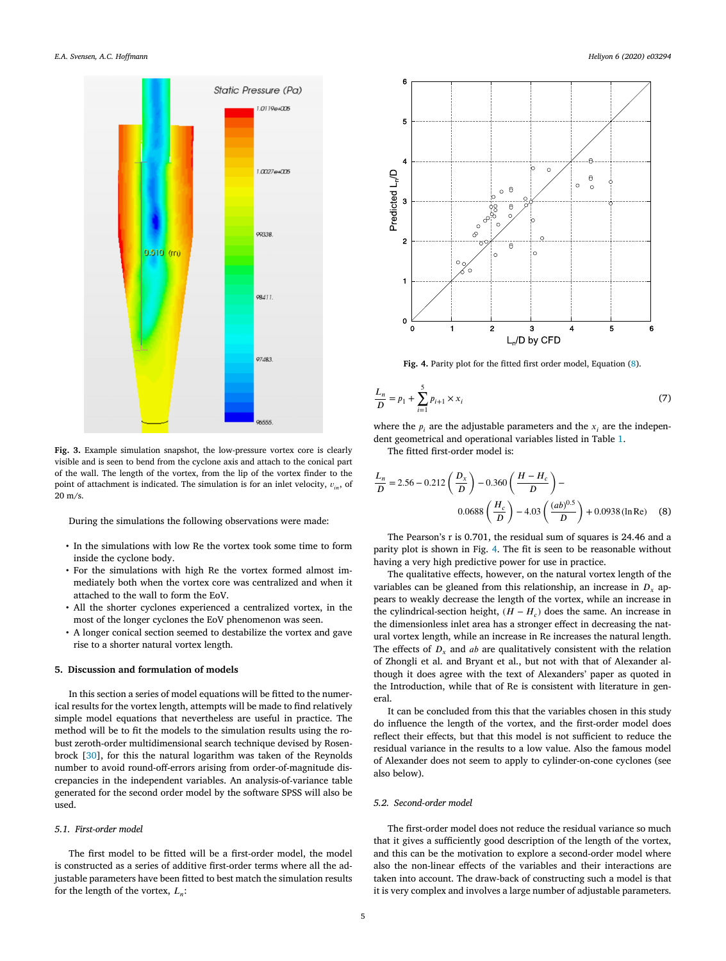<span id="page-4-0"></span>

**Fig. 3.** Example simulation snapshot, the low-pressure vortex core is clearly visible and is seen to bend from the cyclone axis and attach to the conical part of the wall. The length of the vortex, from the lip of the vortex finder to the point of attachment is indicated. The simulation is for an inlet velocity,  $v_{in}$ , of 20 m/s.

During the simulations the following observations were made:

- In the simulations with low Re the vortex took some time to form inside the cyclone body.
- For the simulations with high Re the vortex formed almost immediately both when the vortex core was centralized and when it attached to the wall to form the EoV.
- All the shorter cyclones experienced a centralized vortex, in the most of the longer cyclones the EoV phenomenon was seen.
- A longer conical section seemed to destabilize the vortex and gave rise to a shorter natural vortex length.

#### **5. Discussion and formulation of models**

In this section a series of model equations will be fitted to the numerical results for the vortex length, attempts will be made to find relatively simple model equations that nevertheless are useful in practice. The method will be to fit the models to the simulation results using the robust zeroth-order multidimensional search technique devised by Rosenbrock [\[30](#page-8-0)], for this the natural logarithm was taken of the Reynolds number to avoid round-off-errors arising from order-of-magnitude discrepancies in the independent variables. An analysis-of-variance table generated for the second order model by the software SPSS will also be used.

## *5.1. First-order model*

The first model to be fitted will be a first-order model, the model is constructed as a series of additive first-order terms where all the adjustable parameters have been fitted to best match the simulation results for the length of the vortex,  $L_n$ :



**Fig. 4.** Parity plot for the fitted first order model, Equation (8).

$$
\frac{L_n}{D} = p_1 + \sum_{i=1}^{5} p_{i+1} \times x_i
$$
\n(7)

where the  $p_i$  are the adjustable parameters and the  $x_i$  are the independent geometrical and operational variables listed in Table [1](#page-3-0).

The fitted first-order model is:

$$
\frac{L_n}{D} = 2.56 - 0.212 \left(\frac{D_x}{D}\right) - 0.360 \left(\frac{H - H_c}{D}\right) -
$$
  
0.0688  $\left(\frac{H_c}{D}\right) - 4.03 \left(\frac{(ab)^{0.5}}{D}\right) + 0.0938 \left(\ln \text{Re}\right)$  (8)

The Pearson's r is 0.701, the residual sum of squares is 24.46 and a parity plot is shown in Fig. 4. The fit is seen to be reasonable without having a very high predictive power for use in practice.

The qualitative effects, however, on the natural vortex length of the variables can be gleaned from this relationship, an increase in  $D<sub>r</sub>$  appears to weakly decrease the length of the vortex, while an increase in the cylindrical-section height,  $(H - H_c)$  does the same. An increase in the dimensionless inlet area has a stronger effect in decreasing the natural vortex length, while an increase in Re increases the natural length. The effects of  $D_x$  and ab are qualitatively consistent with the relation of Zhongli et al. and Bryant et al., but not with that of Alexander although it does agree with the text of Alexanders' paper as quoted in the Introduction, while that of Re is consistent with literature in general.

It can be concluded from this that the variables chosen in this study do influence the length of the vortex, and the first-order model does reflect their effects, but that this model is not sufficient to reduce the residual variance in the results to a low value. Also the famous model of Alexander does not seem to apply to cylinder-on-cone cyclones (see also below).

#### *5.2. Second-order model*

The first-order model does not reduce the residual variance so much that it gives a sufficiently good description of the length of the vortex, and this can be the motivation to explore a second-order model where also the non-linear effects of the variables and their interactions are taken into account. The draw-back of constructing such a model is that it is very complex and involves a large number of adjustable parameters.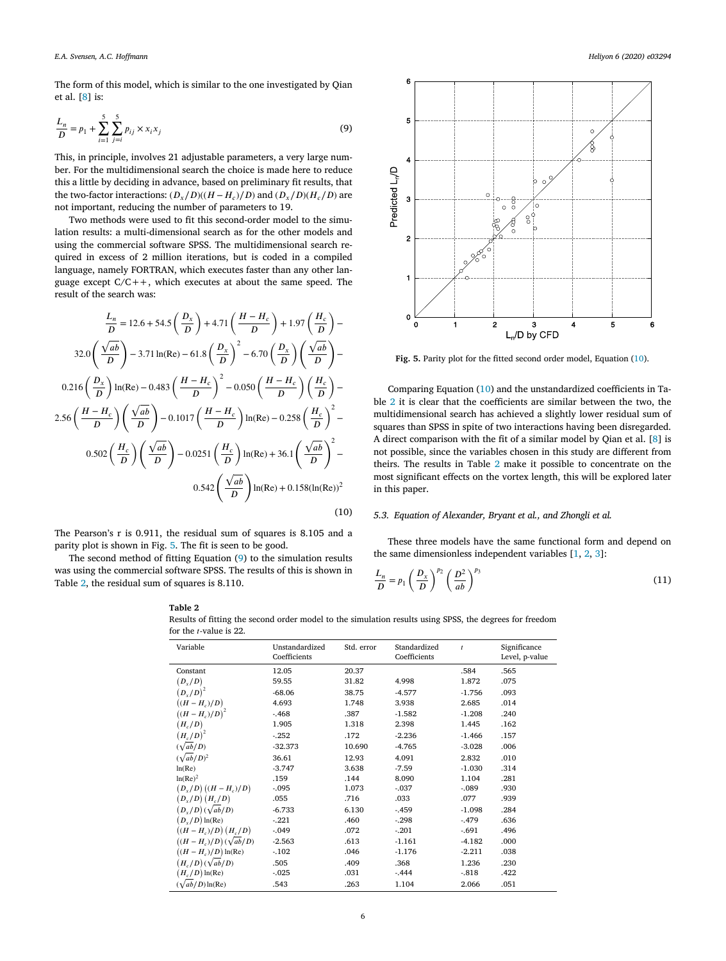<span id="page-5-0"></span>The form of this model, which is similar to the one investigated by Qian et al. [[8](#page-8-0)] is:

$$
\frac{L_n}{D} = p_1 + \sum_{i=1}^{5} \sum_{j=i}^{5} p_{ij} \times x_i x_j
$$
\n(9)

This, in principle, involves 21 adjustable parameters, a very large number. For the multidimensional search the choice is made here to reduce this a little by deciding in advance, based on preliminary fit results, that the two-factor interactions:  $(D_y/D)(H - H_z)/D$  and  $(D_y/D)(H_z/D)$  are not important, reducing the number of parameters to 19.

Two methods were used to fit this second-order model to the simulation results: a multi-dimensional search as for the other models and using the commercial software SPSS. The multidimensional search required in excess of 2 million iterations, but is coded in a compiled language, namely FORTRAN, which executes faster than any other language except  $C/C++$ , which executes at about the same speed. The result of the search was:

$$
\frac{L_n}{D} = 12.6 + 54.5 \left(\frac{D_x}{D}\right) + 4.71 \left(\frac{H - H_c}{D}\right) + 1.97 \left(\frac{H_c}{D}\right) - 3.71 \ln(\text{Re}) - 61.8 \left(\frac{D_x}{D}\right)^2 - 6.70 \left(\frac{D_x}{D}\right) \left(\frac{\sqrt{ab}}{D}\right) - 0.216 \left(\frac{D_x}{D}\right) \ln(\text{Re}) - 0.483 \left(\frac{H - H_c}{D}\right)^2 - 0.050 \left(\frac{H - H_c}{D}\right) \left(\frac{H_c}{D}\right) - 2.56 \left(\frac{H - H_c}{D}\right) \left(\frac{\sqrt{ab}}{D}\right) - 0.1017 \left(\frac{H - H_c}{D}\right) \ln(\text{Re}) - 0.258 \left(\frac{H_c}{D}\right)^2 - 0.502 \left(\frac{H_c}{D}\right) \left(\frac{\sqrt{ab}}{D}\right) - 0.0251 \left(\frac{H_c}{D}\right) \ln(\text{Re}) + 36.1 \left(\frac{\sqrt{ab}}{D}\right)^2 - 0.542 \left(\frac{\sqrt{ab}}{D}\right) \ln(\text{Re}) + 0.158(\ln(\text{Re}))^2
$$
\n(10)

The Pearson's r is 0.911, the residual sum of squares is 8.105 and a parity plot is shown in Fig. 5. The fit is seen to be good.

The second method of fitting Equation (9) to the simulation results was using the commercial software SPSS. The results of this is shown in Table 2, the residual sum of squares is 8.110.



**Fig. 5.** Parity plot for the fitted second order model, Equation (10).

Comparing Equation (10) and the unstandardized coefficients in Table 2 it is clear that the coefficients are similar between the two, the multidimensional search has achieved a slightly lower residual sum of squares than SPSS in spite of two interactions having been disregarded. A direct comparison with the fit of a similar model by Qian et al. [[8](#page-8-0)] is not possible, since the variables chosen in this study are different from theirs. The results in Table 2 make it possible to concentrate on the most significant effects on the vortex length, this will be explored later in this paper.

#### *5.3. Equation of Alexander, Bryant et al., and Zhongli et al.*

These three models have the same functional form and depend on the same dimensionless independent variables [\[1,](#page-7-0) [2,](#page-7-0) [3\]](#page-7-0):

$$
\frac{L_n}{D} = p_1 \left(\frac{D_x}{D}\right)^{p_2} \left(\frac{D^2}{ab}\right)^{p_3} \tag{11}
$$

**Table 2**



| Variable                       | Unstandardized<br>Coefficients | Std. error | Standardized<br>Coefficients | $\boldsymbol{t}$ | Significance<br>Level, p-value |
|--------------------------------|--------------------------------|------------|------------------------------|------------------|--------------------------------|
| Constant                       | 12.05                          | 20.37      |                              | .584             | .565                           |
| $(D_x/D)$                      | 59.55                          | 31.82      | 4.998                        | 1.872            | .075                           |
| $(D_x/D)^2$                    | $-68.06$                       | 38.75      | $-4.577$                     | $-1.756$         | .093                           |
| $((H - H_c)/D)$                | 4.693                          | 1.748      | 3.938                        | 2.685            | .014                           |
| $((H-H_c)/D)^2$                | $-468$                         | .387       | $-1.582$                     | $-1.208$         | .240                           |
| $(H_c/D)$                      | 1.905                          | 1.318      | 2.398                        | 1.445            | .162                           |
| $(H_c/D)^2$                    | $-252$                         | .172       | $-2.236$                     | $-1.466$         | .157                           |
| $(\sqrt{ab/D})$                | $-32.373$                      | 10.690     | $-4.765$                     | $-3.028$         | .006                           |
| $(\sqrt{ab/D})^2$              | 36.61                          | 12.93      | 4.091                        | 2.832            | .010                           |
| ln(Re)                         | $-3.747$                       | 3.638      | $-7.59$                      | $-1.030$         | .314                           |
| $ln(Re)^2$                     | .159                           | .144       | 8.090                        | 1.104            | .281                           |
| $(D_x/D)(H-H_c)/D)$            | $-0.095$                       | 1.073      | $-.037$                      | $-.089$          | .930                           |
| $(D_y/D)(H_c/D)$               | .055                           | .716       | .033                         | .077             | .939                           |
| $(D_x/D)(\sqrt{ab/D})$         | $-6.733$                       | 6.130      | $-459$                       | $-1.098$         | .284                           |
| $(D_y/D) \ln(\text{Re})$       | $-.221$                        | .460       | $-.298$                      | $-.479$          | .636                           |
| $((H - H_c)/D) (H_c/D)$        | $-0.049$                       | .072       | $-.201$                      | $-.691$          | .496                           |
| $((H - Hc)/D)(\sqrt{ab/D})$    | $-2.563$                       | .613       | $-1.161$                     | $-4.182$         | .000                           |
| $((H - H_c)/D) \ln(\text{Re})$ | $-102$                         | .046       | $-1.176$                     | $-2.211$         | .038                           |
| $(H_{c}/D)(\sqrt{ab/D})$       | .505                           | .409       | .368                         | 1.236            | .230                           |
| $(H_c/D) \ln(\text{Re})$       | $-0.025$                       | .031       | $-444$                       | $-818$           | .422                           |
| $(\sqrt{ab/D}) \ln(\text{Re})$ | .543                           | .263       | 1.104                        | 2.066            | .051                           |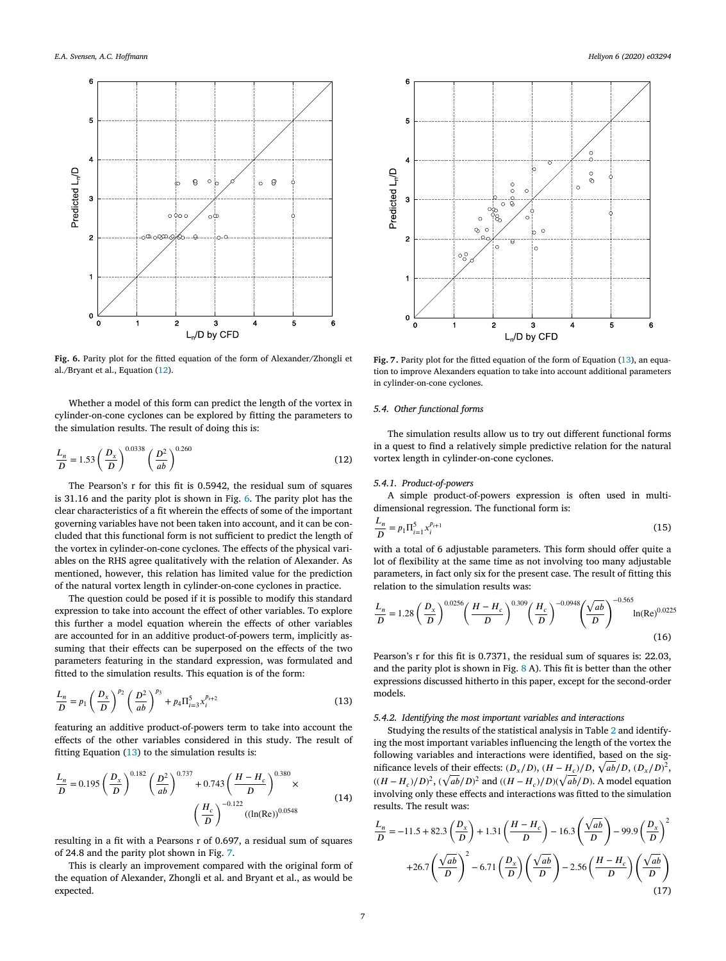<span id="page-6-0"></span>

Fig. 6. Parity plot for the fitted equation of the form of Alexander/Zhongli et al./Bryant et al., Equation (12).

Whether a model of this form can predict the length of the vortex in cylinder-on-cone cyclones can be explored by fitting the parameters to the simulation results. The result of doing this is:

$$
\frac{L_n}{D} = 1.53 \left(\frac{D_x}{D}\right)^{0.0338} \left(\frac{D^2}{ab}\right)^{0.260} \tag{12}
$$

The Pearson's r for this fit is 0.5942, the residual sum of squares is 31.16 and the parity plot is shown in Fig. 6. The parity plot has the clear characteristics of a fit wherein the effects of some of the important governing variables have not been taken into account, and it can be concluded that this functional form is not sufficient to predict the length of the vortex in cylinder-on-cone cyclones. The effects of the physical variables on the RHS agree qualitatively with the relation of Alexander. As mentioned, however, this relation has limited value for the prediction of the natural vortex length in cylinder-on-cone cyclones in practice.

The question could be posed if it is possible to modify this standard expression to take into account the effect of other variables. To explore this further a model equation wherein the effects of other variables are accounted for in an additive product-of-powers term, implicitly assuming that their effects can be superposed on the effects of the two parameters featuring in the standard expression, was formulated and fitted to the simulation results. This equation is of the form:

$$
\frac{L_n}{D} = p_1 \left(\frac{D_x}{D}\right)^{p_2} \left(\frac{D^2}{ab}\right)^{p_3} + p_4 \Pi_{i=3}^5 x_i^{p_{i+2}}
$$
\n(13)

featuring an additive product-of-powers term to take into account the effects of the other variables considered in this study. The result of fitting Equation (13) to the simulation results is:

$$
\frac{L_n}{D} = 0.195 \left(\frac{D_x}{D}\right)^{0.182} \left(\frac{D^2}{ab}\right)^{0.737} + 0.743 \left(\frac{H - H_c}{D}\right)^{0.380} \times \left(\frac{H_c}{D}\right)^{-0.122} \left(\frac{(ln(Re))^{0.0548}}{\left(\frac{1}{D}\right)^{-0.122}}\right)
$$
(14)

resulting in a fit with a Pearsons r of 0.697, a residual sum of squares of 24.8 and the parity plot shown in Fig. 7.

This is clearly an improvement compared with the original form of the equation of Alexander, Zhongli et al. and Bryant et al., as would be expected.



**Fig. 7.** Parity plot for the fitted equation of the form of Equation (13), an equation to improve Alexanders equation to take into account additional parameters in cylinder-on-cone cyclones.

### *5.4. Other functional forms*

The simulation results allow us to try out different functional forms in a quest to find a relatively simple predictive relation for the natural vortex length in cylinder-on-cone cyclones.

### *5.4.1. Product-of-powers*

A simple product-of-powers expression is often used in multidimensional regression. The functional form is:

$$
\frac{L_n}{D} = p_1 \Pi_{i=1}^5 x_i^{p_{i+1}}
$$
\n(15)

with a total of 6 adjustable parameters. This form should offer quite a lot of flexibility at the same time as not involving too many adjustable parameters, in fact only six for the present case. The result of fitting this relation to the simulation results was:

$$
\frac{L_n}{D} = 1.28 \left(\frac{D_x}{D}\right)^{0.0256} \left(\frac{H - H_c}{D}\right)^{0.309} \left(\frac{H_c}{D}\right)^{-0.0948} \left(\frac{\sqrt{ab}}{D}\right)^{-0.565} \ln(Re)^{0.0225}
$$
\n(16)

Pearson's r for this fit is 0.7371, the residual sum of squares is: 22.03, and the parity plot is shown in Fig. [8](#page-7-0) A). This fit is better than the other expressions discussed hitherto in this paper, except for the second-order models.

#### *5.4.2. Identifying the most important variables and interactions*

Studying the results of the statistical analysis in Table [2](#page-5-0) and identifying the most important variables influencing the length of the vortex the following variables and interactions were identified, based on the significance levels of their effects:  $(D_x/D)$ ,  $(H - H_c)/D$ ,  $\sqrt{ab}/D$ ,  $(D_x/D)^2$ ,  $((H - H_c)/D)^2$ ,  $(\sqrt{ab}/D)^2$  and  $((H - H_c)/D)(\sqrt{ab}/D)$ . A model equation involving only these effects and interactions was fitted to the simulation results. The result was:

$$
\frac{L_n}{D} = -11.5 + 82.3 \left(\frac{D_x}{D}\right) + 1.31 \left(\frac{H - H_c}{D}\right) - 16.3 \left(\frac{\sqrt{ab}}{D}\right) - 99.9 \left(\frac{D_x}{D}\right)^2 + 26.7 \left(\frac{\sqrt{ab}}{D}\right)^2 - 6.71 \left(\frac{D_x}{D}\right) \left(\frac{\sqrt{ab}}{D}\right) - 2.56 \left(\frac{H - H_c}{D}\right) \left(\frac{\sqrt{ab}}{D}\right)
$$
\n(17)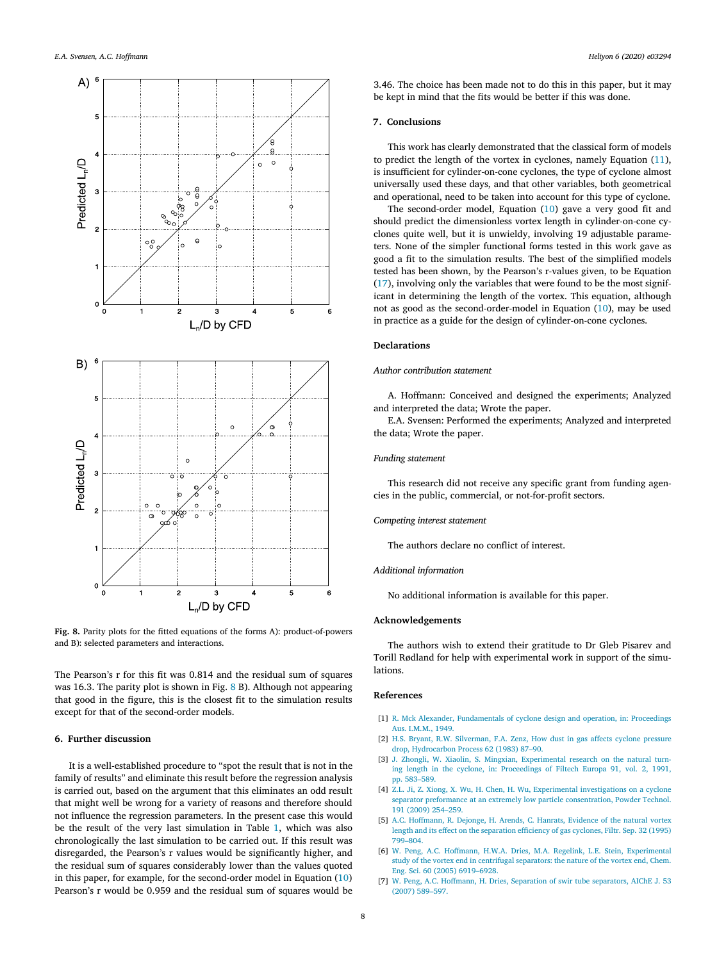<span id="page-7-0"></span>

**Fig. 8.** Parity plots for the fitted equations of the forms A): product-of-powers and B): selected parameters and interactions.

The Pearson's r for this fit was 0.814 and the residual sum of squares was 16.3. The parity plot is shown in Fig. 8 B). Although not appearing that good in the figure, this is the closest fit to the simulation results except for that of the second-order models.

# **6. Further discussion**

It is a well-established procedure to "spot the result that is not in the family of results" and eliminate this result before the regression analysis is carried out, based on the argument that this eliminates an odd result that might well be wrong for a variety of reasons and therefore should not influence the regression parameters. In the present case this would be the result of the very last simulation in Table [1,](#page-3-0) which was also chronologically the last simulation to be carried out. If this result was disregarded, the Pearson's r values would be significantly higher, and the residual sum of squares considerably lower than the values quoted in this paper, for example, for the second-order model in Equation ([10\)](#page-5-0) Pearson's r would be 0.959 and the residual sum of squares would be 3.46. The choice has been made not to do this in this paper, but it may be kept in mind that the fits would be better if this was done.

#### **7. Conclusions**

This work has clearly demonstrated that the classical form of models to predict the length of the vortex in cyclones, namely Equation [\(11\)](#page-5-0), is insufficient for cylinder-on-cone cyclones, the type of cyclone almost universally used these days, and that other variables, both geometrical and operational, need to be taken into account for this type of cyclone.

The second-order model, Equation [\(10](#page-5-0)) gave a very good fit and should predict the dimensionless vortex length in cylinder-on-cone cyclones quite well, but it is unwieldy, involving 19 adjustable parameters. None of the simpler functional forms tested in this work gave as good a fit to the simulation results. The best of the simplified models tested has been shown, by the Pearson's r-values given, to be Equation ([17\)](#page-6-0), involving only the variables that were found to be the most significant in determining the length of the vortex. This equation, although not as good as the second-order-model in Equation [\(10](#page-5-0)), may be used in practice as a guide for the design of cylinder-on-cone cyclones.

#### **Declarations**

#### *Author contribution statement*

A. Hoffmann: Conceived and designed the experiments; Analyzed and interpreted the data; Wrote the paper.

E.A. Svensen: Performed the experiments; Analyzed and interpreted the data; Wrote the paper.

#### *Funding statement*

This research did not receive any specific grant from funding agencies in the public, commercial, or not-for-profit sectors.

#### *Competing interest statement*

The authors declare no conflict of interest.

#### *Additional information*

No additional information is available for this paper.

#### **Acknowledgements**

The authors wish to extend their gratitude to Dr Gleb Pisarev and Torill Rødland for help with experimental work in support of the simulations.

#### **References**

- [1] R. Mck Alexander, [Fundamentals](http://refhub.elsevier.com/S2405-8440(20)30139-0/bibB7A71D8799CF6DD75B711A7F52DE6675s1) of cyclone design and operation, in: Proceedings Aus. [I.M.M.,](http://refhub.elsevier.com/S2405-8440(20)30139-0/bibB7A71D8799CF6DD75B711A7F52DE6675s1) 1949.
- [2] H.S. Bryant, R.W. [Silverman,](http://refhub.elsevier.com/S2405-8440(20)30139-0/bib2164405D5292F090419D2DD5790095BEs1) F.A. Zenz, How dust in gas affects cyclone pressure drop, [Hydrocarbon](http://refhub.elsevier.com/S2405-8440(20)30139-0/bib2164405D5292F090419D2DD5790095BEs1) Process 62 (1983) 87–90.
- [3] J. Zhongli, W. Xiaolin, S. Mingxian, [Experimental](http://refhub.elsevier.com/S2405-8440(20)30139-0/bib0AC57BC907A4F4E1BEBB886B2701C6EFs1) research on the natural turning length in the cyclone, in: [Proceedings](http://refhub.elsevier.com/S2405-8440(20)30139-0/bib0AC57BC907A4F4E1BEBB886B2701C6EFs1) of Filtech Europa 91, vol. 2, 1991, [pp. 583–589.](http://refhub.elsevier.com/S2405-8440(20)30139-0/bib0AC57BC907A4F4E1BEBB886B2701C6EFs1)
- [4] Z.L. Ji, Z. Xiong, X. Wu, H. Chen, H. Wu, Experimental [investigations](http://refhub.elsevier.com/S2405-8440(20)30139-0/bib4B9AAE18BFA8BF34B16CB8E7BAE291D9s1) on a cyclone separator preformance at an extremely low particle [consentration,](http://refhub.elsevier.com/S2405-8440(20)30139-0/bib4B9AAE18BFA8BF34B16CB8E7BAE291D9s1) Powder Technol. 191 (2009) [254–259.](http://refhub.elsevier.com/S2405-8440(20)30139-0/bib4B9AAE18BFA8BF34B16CB8E7BAE291D9s1)
- [5] A.C. [Hoffmann,](http://refhub.elsevier.com/S2405-8440(20)30139-0/bib7EE17CD390965FA744A3B6EFE95804A0s1) R. Dejonge, H. Arends, C. Hanrats, Evidence of the natural vortex length and its effect on the [separation](http://refhub.elsevier.com/S2405-8440(20)30139-0/bib7EE17CD390965FA744A3B6EFE95804A0s1) efficiency of gas cyclones, Filtr. Sep. 32 (1995) [799–804.](http://refhub.elsevier.com/S2405-8440(20)30139-0/bib7EE17CD390965FA744A3B6EFE95804A0s1)
- [6] W. Peng, A.C. Hoffmann, H.W.A. Dries, M.A. Regelink, L.E. Stein, [Experimental](http://refhub.elsevier.com/S2405-8440(20)30139-0/bibC61B982033147F6A41DDC7603420A815s1) study of the vortex end in centrifugal [separators:](http://refhub.elsevier.com/S2405-8440(20)30139-0/bibC61B982033147F6A41DDC7603420A815s1) the nature of the vortex end, Chem. Eng. Sci. 60 (2005) [6919–6928.](http://refhub.elsevier.com/S2405-8440(20)30139-0/bibC61B982033147F6A41DDC7603420A815s1)
- [7] W. Peng, A.C. Hoffmann, H. Dries, Separation of swir tube [separators,](http://refhub.elsevier.com/S2405-8440(20)30139-0/bibF5A3A685F43118E7BAC06A9E91EE1F83s1) AIChE J. 53 (2007) [589–597.](http://refhub.elsevier.com/S2405-8440(20)30139-0/bibF5A3A685F43118E7BAC06A9E91EE1F83s1)